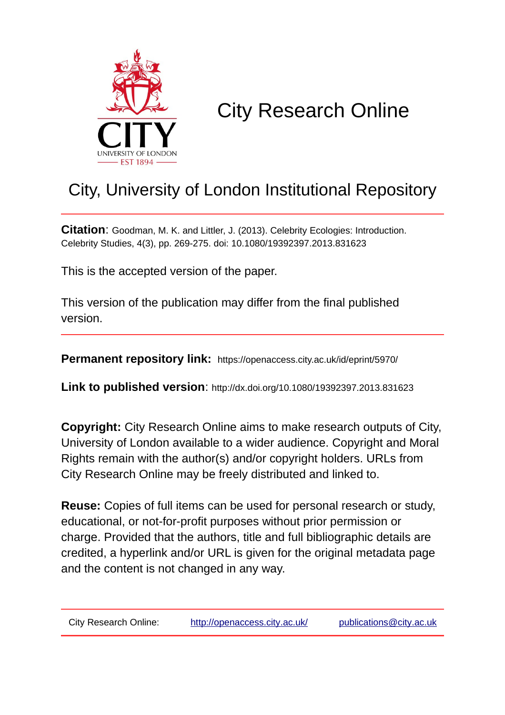

# City Research Online

## City, University of London Institutional Repository

**Citation**: Goodman, M. K. and Littler, J. (2013). Celebrity Ecologies: Introduction. Celebrity Studies, 4(3), pp. 269-275. doi: 10.1080/19392397.2013.831623

This is the accepted version of the paper.

This version of the publication may differ from the final published version.

**Permanent repository link:** https://openaccess.city.ac.uk/id/eprint/5970/

**Link to published version**: http://dx.doi.org/10.1080/19392397.2013.831623

**Copyright:** City Research Online aims to make research outputs of City, University of London available to a wider audience. Copyright and Moral Rights remain with the author(s) and/or copyright holders. URLs from City Research Online may be freely distributed and linked to.

**Reuse:** Copies of full items can be used for personal research or study, educational, or not-for-profit purposes without prior permission or charge. Provided that the authors, title and full bibliographic details are credited, a hyperlink and/or URL is given for the original metadata page and the content is not changed in any way.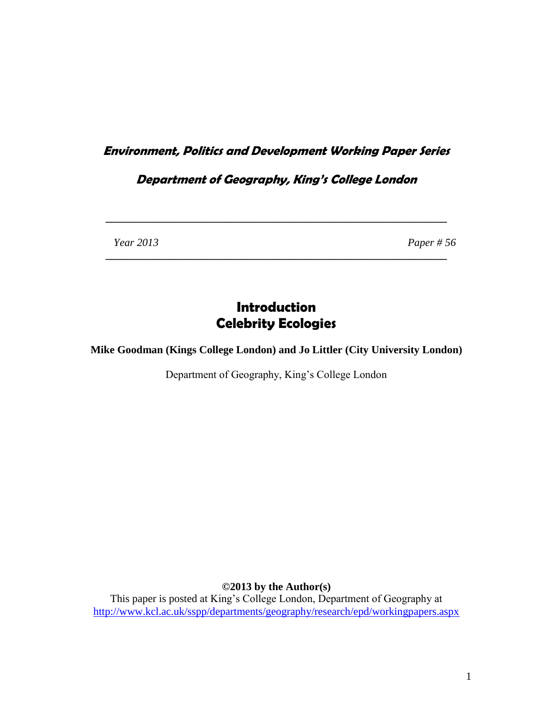## **Environment, Politics and Development Working Paper Series**

## **Department of Geography, King's College London**

**\_\_\_\_\_\_\_\_\_\_\_\_\_\_\_\_\_\_\_\_\_\_\_\_\_\_\_\_\_\_\_\_\_\_\_\_\_\_\_\_\_\_\_\_\_\_\_\_\_\_\_\_\_\_\_\_\_\_\_\_\_\_\_**

**\_\_\_\_\_\_\_\_\_\_\_\_\_\_\_\_\_\_\_\_\_\_\_\_\_\_\_\_\_\_\_\_\_\_\_\_\_\_\_\_\_\_\_\_\_\_\_\_\_\_\_\_\_\_\_\_\_\_\_\_\_\_\_**

 *Year 2013 Paper # 56*

## **Introduction Celebrity Ecologies**

**Mike Goodman (Kings College London) and Jo Littler (City University London)**

Department of Geography, King's College London

**©2013 by the Author(s)**

This paper is posted at King's College London, Department of Geography at <http://www.kcl.ac.uk/sspp/departments/geography/research/epd/workingpapers.aspx>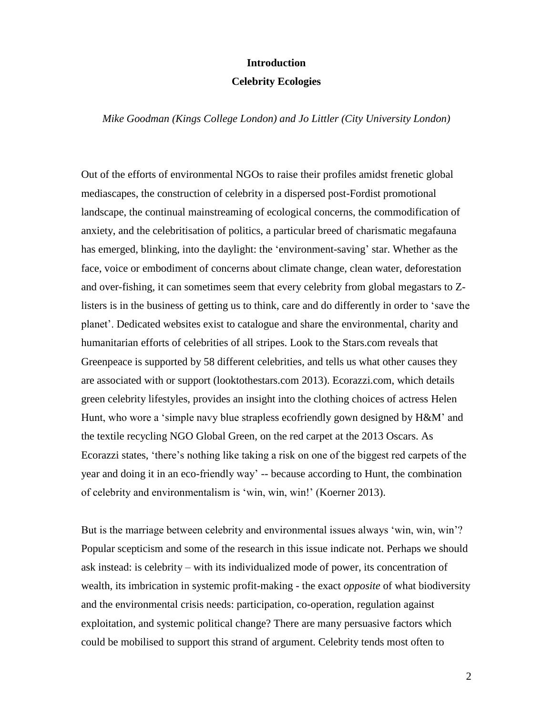#### **Introduction**

#### **Celebrity Ecologies**

#### *Mike Goodman (Kings College London) and Jo Littler (City University London)*

Out of the efforts of environmental NGOs to raise their profiles amidst frenetic global mediascapes, the construction of celebrity in a dispersed post-Fordist promotional landscape, the continual mainstreaming of ecological concerns, the commodification of anxiety, and the celebritisation of politics, a particular breed of charismatic megafauna has emerged, blinking, into the daylight: the 'environment-saving' star. Whether as the face, voice or embodiment of concerns about climate change, clean water, deforestation and over-fishing, it can sometimes seem that every celebrity from global megastars to Zlisters is in the business of getting us to think, care and do differently in order to 'save the planet'. Dedicated websites exist to catalogue and share the environmental, charity and humanitarian efforts of celebrities of all stripes. Look to the Stars.com reveals that Greenpeace is supported by 58 different celebrities, and tells us what other causes they are associated with or support (looktothestars.com 2013). Ecorazzi.com, which details green celebrity lifestyles, provides an insight into the clothing choices of actress Helen Hunt, who wore a 'simple navy blue strapless ecofriendly gown designed by H&M' and the textile recycling NGO Global Green, on the red carpet at the 2013 Oscars. As Ecorazzi states, 'there's nothing like taking a risk on one of the biggest red carpets of the year and doing it in an eco-friendly way' -- because according to Hunt, the combination of celebrity and environmentalism is 'win, win, win!' (Koerner 2013).

But is the marriage between celebrity and environmental issues always 'win, win, win'? Popular scepticism and some of the research in this issue indicate not. Perhaps we should ask instead: is celebrity – with its individualized mode of power, its concentration of wealth, its imbrication in systemic profit-making - the exact *opposite* of what biodiversity and the environmental crisis needs: participation, co-operation, regulation against exploitation, and systemic political change? There are many persuasive factors which could be mobilised to support this strand of argument. Celebrity tends most often to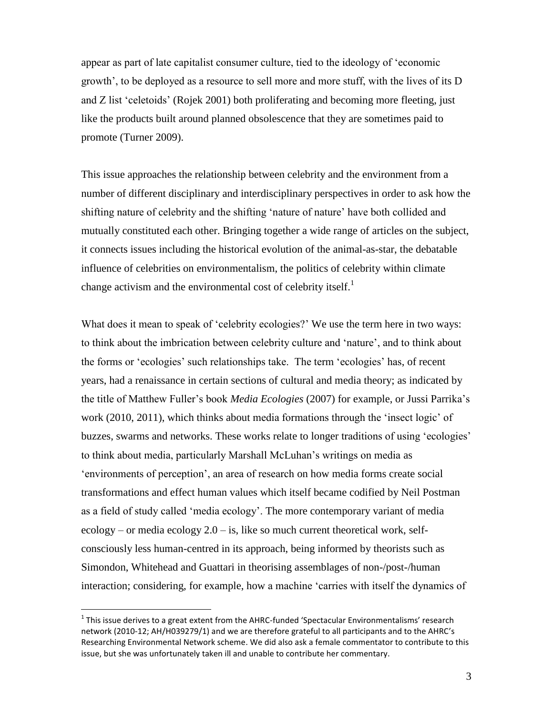appear as part of late capitalist consumer culture, tied to the ideology of 'economic growth', to be deployed as a resource to sell more and more stuff, with the lives of its D and Z list 'celetoids' (Rojek 2001) both proliferating and becoming more fleeting, just like the products built around planned obsolescence that they are sometimes paid to promote (Turner 2009).

This issue approaches the relationship between celebrity and the environment from a number of different disciplinary and interdisciplinary perspectives in order to ask how the shifting nature of celebrity and the shifting 'nature of nature' have both collided and mutually constituted each other. Bringing together a wide range of articles on the subject, it connects issues including the historical evolution of the animal-as-star, the debatable influence of celebrities on environmentalism, the politics of celebrity within climate change activism and the environmental cost of celebrity itself. $<sup>1</sup>$ </sup>

What does it mean to speak of 'celebrity ecologies?' We use the term here in two ways: to think about the imbrication between celebrity culture and 'nature', and to think about the forms or 'ecologies' such relationships take. The term 'ecologies' has, of recent years, had a renaissance in certain sections of cultural and media theory; as indicated by the title of Matthew Fuller's book *Media Ecologies* (2007) for example, or Jussi Parrika's work (2010, 2011), which thinks about media formations through the 'insect logic' of buzzes, swarms and networks. These works relate to longer traditions of using 'ecologies' to think about media, particularly Marshall McLuhan's writings on media as 'environments of perception', an area of research on how media forms create social transformations and effect human values which itself became codified by Neil Postman as a field of study called 'media ecology'. The more contemporary variant of media ecology – or media ecology  $2.0 - is$ , like so much current theoretical work, selfconsciously less human-centred in its approach, being informed by theorists such as Simondon, Whitehead and Guattari in theorising assemblages of non-/post-/human interaction; considering, for example, how a machine 'carries with itself the dynamics of

 $\overline{a}$ 

 $^1$  This issue derives to a great extent from the AHRC-funded 'Spectacular Environmentalisms' research network (2010-12; AH/H039279/1) and we are therefore grateful to all participants and to the AHRC's Researching Environmental Network scheme. We did also ask a female commentator to contribute to this issue, but she was unfortunately taken ill and unable to contribute her commentary.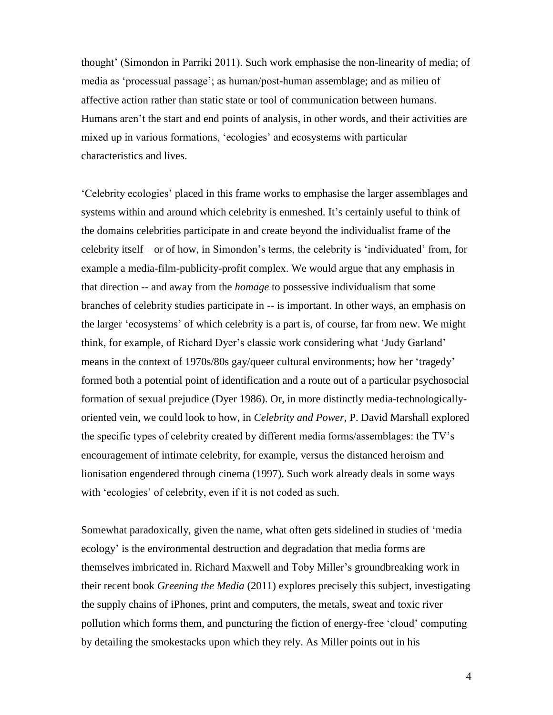thought' (Simondon in Parriki 2011). Such work emphasise the non-linearity of media; of media as 'processual passage'; as human/post-human assemblage; and as milieu of affective action rather than static state or tool of communication between humans. Humans aren't the start and end points of analysis, in other words, and their activities are mixed up in various formations, 'ecologies' and ecosystems with particular characteristics and lives.

'Celebrity ecologies' placed in this frame works to emphasise the larger assemblages and systems within and around which celebrity is enmeshed. It's certainly useful to think of the domains celebrities participate in and create beyond the individualist frame of the celebrity itself – or of how, in Simondon's terms, the celebrity is 'individuated' from, for example a media-film-publicity-profit complex. We would argue that any emphasis in that direction -- and away from the *homage* to possessive individualism that some branches of celebrity studies participate in -- is important. In other ways, an emphasis on the larger 'ecosystems' of which celebrity is a part is, of course, far from new. We might think, for example, of Richard Dyer's classic work considering what 'Judy Garland' means in the context of 1970s/80s gay/queer cultural environments; how her 'tragedy' formed both a potential point of identification and a route out of a particular psychosocial formation of sexual prejudice (Dyer 1986). Or, in more distinctly media-technologicallyoriented vein, we could look to how, in *Celebrity and Power,* P. David Marshall explored the specific types of celebrity created by different media forms/assemblages: the TV's encouragement of intimate celebrity, for example, versus the distanced heroism and lionisation engendered through cinema (1997). Such work already deals in some ways with 'ecologies' of celebrity, even if it is not coded as such.

Somewhat paradoxically, given the name, what often gets sidelined in studies of 'media ecology' is the environmental destruction and degradation that media forms are themselves imbricated in. Richard Maxwell and Toby Miller's groundbreaking work in their recent book *Greening the Media* (2011) explores precisely this subject, investigating the supply chains of iPhones, print and computers, the metals, sweat and toxic river pollution which forms them, and puncturing the fiction of energy-free 'cloud' computing by detailing the smokestacks upon which they rely. As Miller points out in his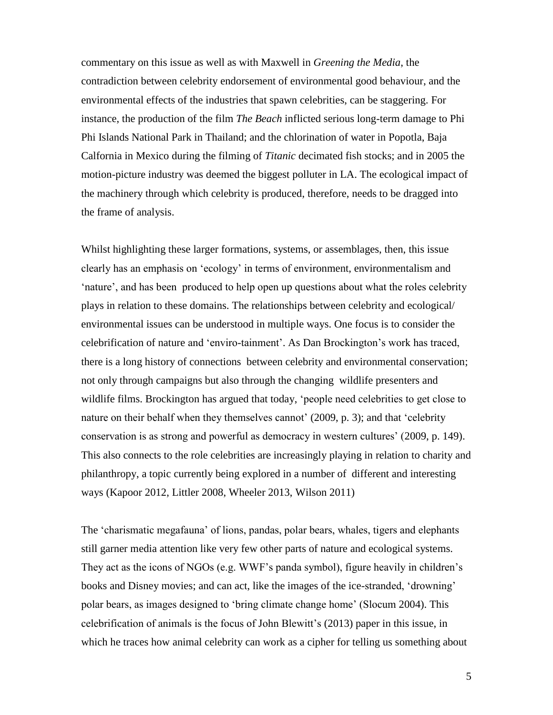commentary on this issue as well as with Maxwell in *Greening the Media*, the contradiction between celebrity endorsement of environmental good behaviour, and the environmental effects of the industries that spawn celebrities, can be staggering. For instance, the production of the film *The Beach* inflicted serious long-term damage to Phi Phi Islands National Park in Thailand; and the chlorination of water in Popotla, Baja Calfornia in Mexico during the filming of *Titanic* decimated fish stocks; and in 2005 the motion-picture industry was deemed the biggest polluter in LA. The ecological impact of the machinery through which celebrity is produced, therefore, needs to be dragged into the frame of analysis.

Whilst highlighting these larger formations, systems, or assemblages, then, this issue clearly has an emphasis on 'ecology' in terms of environment, environmentalism and 'nature', and has been produced to help open up questions about what the roles celebrity plays in relation to these domains. The relationships between celebrity and ecological/ environmental issues can be understood in multiple ways. One focus is to consider the celebrification of nature and 'enviro-tainment'. As Dan Brockington's work has traced, there is a long history of connections between celebrity and environmental conservation; not only through campaigns but also through the changing wildlife presenters and wildlife films. Brockington has argued that today, 'people need celebrities to get close to nature on their behalf when they themselves cannot' (2009, p. 3); and that 'celebrity conservation is as strong and powerful as democracy in western cultures' (2009, p. 149). This also connects to the role celebrities are increasingly playing in relation to charity and philanthropy, a topic currently being explored in a number of different and interesting ways (Kapoor 2012, Littler 2008, Wheeler 2013, Wilson 2011)

The 'charismatic megafauna' of lions, pandas, polar bears, whales, tigers and elephants still garner media attention like very few other parts of nature and ecological systems. They act as the icons of NGOs (e.g. WWF's panda symbol), figure heavily in children's books and Disney movies; and can act, like the images of the ice-stranded, 'drowning' polar bears, as images designed to 'bring climate change home' (Slocum 2004). This celebrification of animals is the focus of John Blewitt's (2013) paper in this issue, in which he traces how animal celebrity can work as a cipher for telling us something about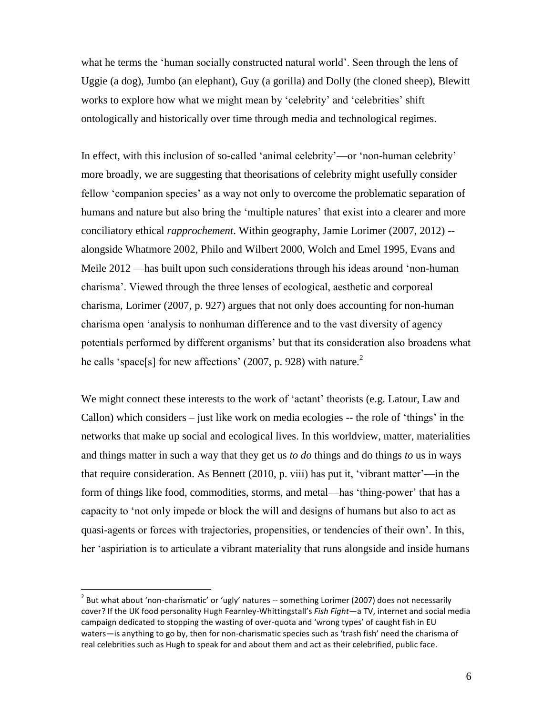what he terms the 'human socially constructed natural world'. Seen through the lens of Uggie (a dog), Jumbo (an elephant), Guy (a gorilla) and Dolly (the cloned sheep), Blewitt works to explore how what we might mean by 'celebrity' and 'celebrities' shift ontologically and historically over time through media and technological regimes.

In effect, with this inclusion of so-called 'animal celebrity'—or 'non-human celebrity' more broadly, we are suggesting that theorisations of celebrity might usefully consider fellow 'companion species' as a way not only to overcome the problematic separation of humans and nature but also bring the 'multiple natures' that exist into a clearer and more conciliatory ethical *rapprochement*. Within geography, Jamie Lorimer (2007, 2012) - alongside Whatmore 2002, Philo and Wilbert 2000, Wolch and Emel 1995, Evans and Meile 2012 —has built upon such considerations through his ideas around 'non-human charisma'. Viewed through the three lenses of ecological, aesthetic and corporeal charisma, Lorimer (2007, p. 927) argues that not only does accounting for non-human charisma open 'analysis to nonhuman difference and to the vast diversity of agency potentials performed by different organisms' but that its consideration also broadens what he calls 'space[s] for new affections' (2007, p. 928) with nature.<sup>2</sup>

We might connect these interests to the work of 'actant' theorists (e.g. Latour, Law and Callon) which considers – just like work on media ecologies -- the role of 'things' in the networks that make up social and ecological lives. In this worldview, matter, materialities and things matter in such a way that they get us *to do* things and do things *to* us in ways that require consideration. As Bennett (2010, p. viii) has put it, 'vibrant matter'—in the form of things like food, commodities, storms, and metal—has 'thing-power' that has a capacity to 'not only impede or block the will and designs of humans but also to act as quasi-agents or forces with trajectories, propensities, or tendencies of their own'. In this, her 'aspiriation is to articulate a vibrant materiality that runs alongside and inside humans

 $\overline{a}$ 

 $^{2}$  But what about 'non-charismatic' or 'ugly' natures -- something Lorimer (2007) does not necessarily cover? If the UK food personality Hugh Fearnley-Whittingstall's *Fish Fight*—a TV, internet and social media campaign dedicated to stopping the wasting of over-quota and 'wrong types' of caught fish in EU waters—is anything to go by, then for non-charismatic species such as 'trash fish' need the charisma of real celebrities such as Hugh to speak for and about them and act as their celebrified, public face.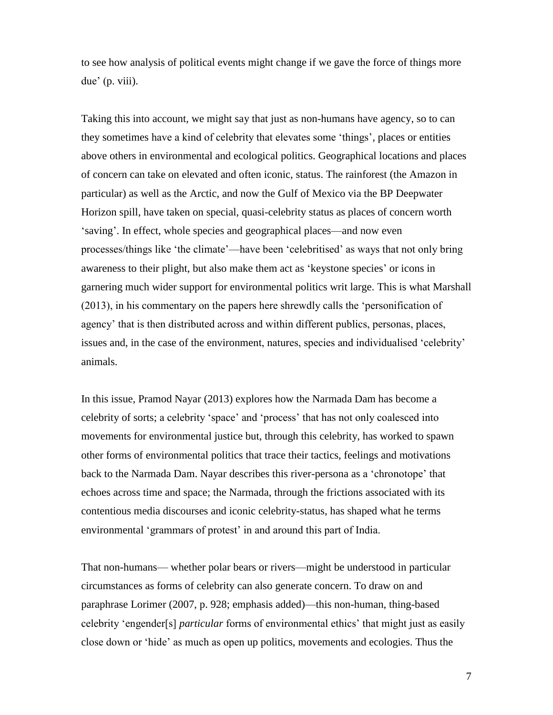to see how analysis of political events might change if we gave the force of things more due' (p. viii).

Taking this into account, we might say that just as non-humans have agency, so to can they sometimes have a kind of celebrity that elevates some 'things', places or entities above others in environmental and ecological politics. Geographical locations and places of concern can take on elevated and often iconic, status. The rainforest (the Amazon in particular) as well as the Arctic, and now the Gulf of Mexico via the BP Deepwater Horizon spill, have taken on special, quasi-celebrity status as places of concern worth 'saving'. In effect, whole species and geographical places—and now even processes/things like 'the climate'—have been 'celebritised' as ways that not only bring awareness to their plight, but also make them act as 'keystone species' or icons in garnering much wider support for environmental politics writ large. This is what Marshall (2013), in his commentary on the papers here shrewdly calls the 'personification of agency' that is then distributed across and within different publics, personas, places, issues and, in the case of the environment, natures, species and individualised 'celebrity' animals.

In this issue, Pramod Nayar (2013) explores how the Narmada Dam has become a celebrity of sorts; a celebrity 'space' and 'process' that has not only coalesced into movements for environmental justice but, through this celebrity, has worked to spawn other forms of environmental politics that trace their tactics, feelings and motivations back to the Narmada Dam. Nayar describes this river-persona as a 'chronotope' that echoes across time and space; the Narmada, through the frictions associated with its contentious media discourses and iconic celebrity-status, has shaped what he terms environmental 'grammars of protest' in and around this part of India.

That non-humans— whether polar bears or rivers—might be understood in particular circumstances as forms of celebrity can also generate concern. To draw on and paraphrase Lorimer (2007, p. 928; emphasis added)—this non-human, thing-based celebrity 'engender[s] *particular* forms of environmental ethics' that might just as easily close down or 'hide' as much as open up politics, movements and ecologies. Thus the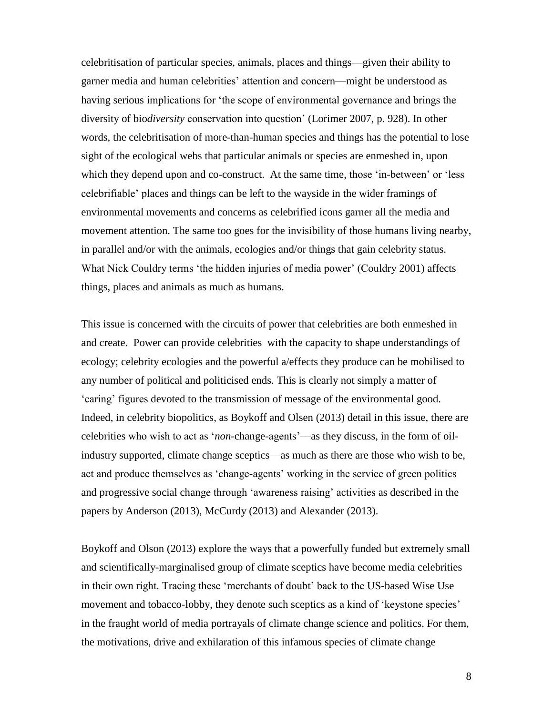celebritisation of particular species, animals, places and things—given their ability to garner media and human celebrities' attention and concern—might be understood as having serious implications for 'the scope of environmental governance and brings the diversity of bio*diversity* conservation into question' (Lorimer 2007, p. 928). In other words, the celebritisation of more-than-human species and things has the potential to lose sight of the ecological webs that particular animals or species are enmeshed in, upon which they depend upon and co-construct. At the same time, those 'in-between' or 'less celebrifiable' places and things can be left to the wayside in the wider framings of environmental movements and concerns as celebrified icons garner all the media and movement attention. The same too goes for the invisibility of those humans living nearby, in parallel and/or with the animals, ecologies and/or things that gain celebrity status. What Nick Couldry terms 'the hidden injuries of media power' (Couldry 2001) affects things, places and animals as much as humans.

This issue is concerned with the circuits of power that celebrities are both enmeshed in and create. Power can provide celebrities with the capacity to shape understandings of ecology; celebrity ecologies and the powerful a/effects they produce can be mobilised to any number of political and politicised ends. This is clearly not simply a matter of 'caring' figures devoted to the transmission of message of the environmental good. Indeed, in celebrity biopolitics, as Boykoff and Olsen (2013) detail in this issue, there are celebrities who wish to act as '*non*-change-agents'—as they discuss, in the form of oilindustry supported, climate change sceptics—as much as there are those who wish to be, act and produce themselves as 'change-agents' working in the service of green politics and progressive social change through 'awareness raising' activities as described in the papers by Anderson (2013), McCurdy (2013) and Alexander (2013).

Boykoff and Olson (2013) explore the ways that a powerfully funded but extremely small and scientifically-marginalised group of climate sceptics have become media celebrities in their own right. Tracing these 'merchants of doubt' back to the US-based Wise Use movement and tobacco-lobby, they denote such sceptics as a kind of 'keystone species' in the fraught world of media portrayals of climate change science and politics. For them, the motivations, drive and exhilaration of this infamous species of climate change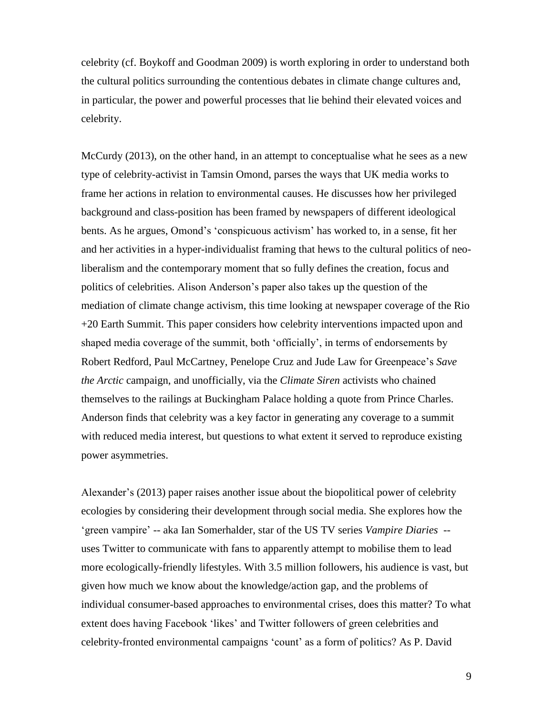celebrity (cf. Boykoff and Goodman 2009) is worth exploring in order to understand both the cultural politics surrounding the contentious debates in climate change cultures and, in particular, the power and powerful processes that lie behind their elevated voices and celebrity.

McCurdy (2013), on the other hand, in an attempt to conceptualise what he sees as a new type of celebrity-activist in Tamsin Omond, parses the ways that UK media works to frame her actions in relation to environmental causes. He discusses how her privileged background and class-position has been framed by newspapers of different ideological bents. As he argues, Omond's 'conspicuous activism' has worked to, in a sense, fit her and her activities in a hyper-individualist framing that hews to the cultural politics of neoliberalism and the contemporary moment that so fully defines the creation, focus and politics of celebrities. Alison Anderson's paper also takes up the question of the mediation of climate change activism, this time looking at newspaper coverage of the Rio +20 Earth Summit. This paper considers how celebrity interventions impacted upon and shaped media coverage of the summit, both 'officially', in terms of endorsements by Robert Redford, Paul McCartney, Penelope Cruz and Jude Law for Greenpeace's *Save the Arctic* campaign, and unofficially, via the *Climate Siren* activists who chained themselves to the railings at Buckingham Palace holding a quote from Prince Charles. Anderson finds that celebrity was a key factor in generating any coverage to a summit with reduced media interest, but questions to what extent it served to reproduce existing power asymmetries.

Alexander's (2013) paper raises another issue about the biopolitical power of celebrity ecologies by considering their development through social media. She explores how the 'green vampire' -- aka Ian Somerhalder, star of the US TV series *Vampire Diaries* - uses Twitter to communicate with fans to apparently attempt to mobilise them to lead more ecologically-friendly lifestyles. With 3.5 million followers, his audience is vast, but given how much we know about the knowledge/action gap, and the problems of individual consumer-based approaches to environmental crises, does this matter? To what extent does having Facebook 'likes' and Twitter followers of green celebrities and celebrity-fronted environmental campaigns 'count' as a form of politics? As P. David

9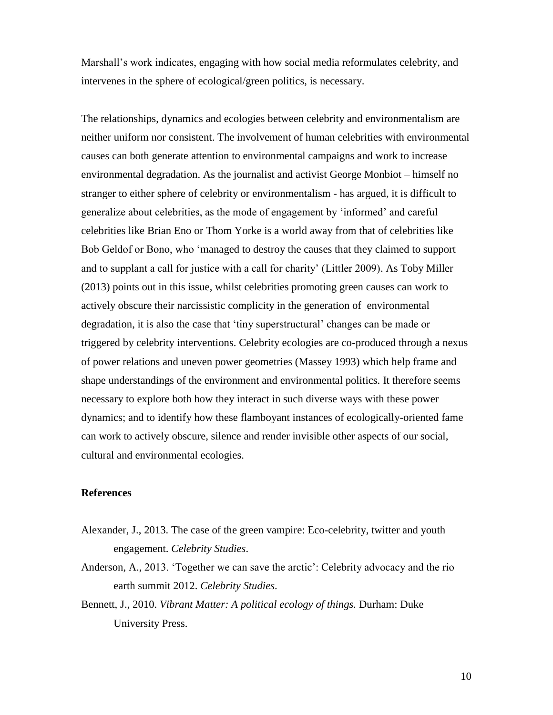Marshall's work indicates, engaging with how social media reformulates celebrity, and intervenes in the sphere of ecological/green politics, is necessary.

The relationships, dynamics and ecologies between celebrity and environmentalism are neither uniform nor consistent. The involvement of human celebrities with environmental causes can both generate attention to environmental campaigns and work to increase environmental degradation. As the journalist and activist George Monbiot – himself no stranger to either sphere of celebrity or environmentalism - has argued, it is difficult to generalize about celebrities, as the mode of engagement by 'informed' and careful celebrities like Brian Eno or Thom Yorke is a world away from that of celebrities like Bob Geldof or Bono, who 'managed to destroy the causes that they claimed to support and to supplant a call for justice with a call for charity' (Littler 2009). As Toby Miller (2013) points out in this issue, whilst celebrities promoting green causes can work to actively obscure their narcissistic complicity in the generation of environmental degradation, it is also the case that 'tiny superstructural' changes can be made or triggered by celebrity interventions. Celebrity ecologies are co-produced through a nexus of power relations and uneven power geometries (Massey 1993) which help frame and shape understandings of the environment and environmental politics. It therefore seems necessary to explore both how they interact in such diverse ways with these power dynamics; and to identify how these flamboyant instances of ecologically-oriented fame can work to actively obscure, silence and render invisible other aspects of our social, cultural and environmental ecologies.

### **References**

- Alexander, J., 2013. The case of the green vampire: Eco-celebrity, twitter and youth engagement. *Celebrity Studies*.
- Anderson, A., 2013. 'Together we can save the arctic': Celebrity advocacy and the rio earth summit 2012. *Celebrity Studies*.
- Bennett, J., 2010. *Vibrant Matter: A political ecology of things.* Durham: Duke University Press.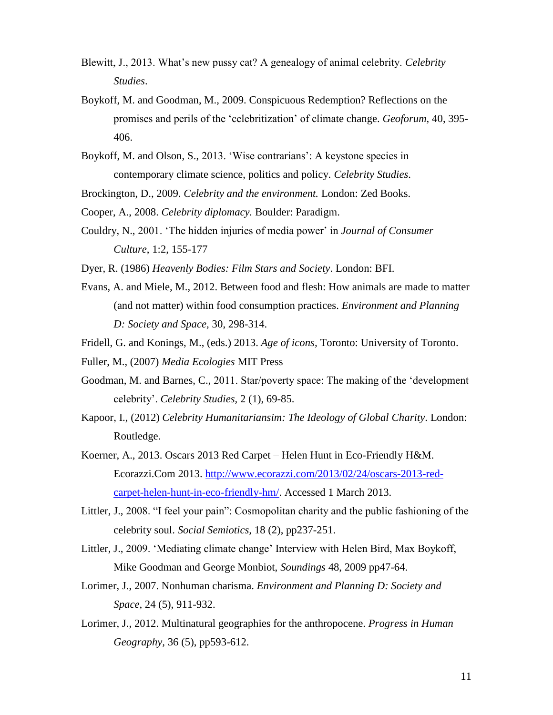- Blewitt, J., 2013. What's new pussy cat? A genealogy of animal celebrity. *Celebrity Studies*.
- Boykoff, M. and Goodman, M., 2009. Conspicuous Redemption? Reflections on the promises and perils of the 'celebritization' of climate change. *Geoforum,* 40, 395- 406.
- Boykoff, M. and Olson, S., 2013. 'Wise contrarians': A keystone species in contemporary climate science, politics and policy. *Celebrity Studies*.

Brockington, D., 2009. *Celebrity and the environment.* London: Zed Books.

- Cooper, A., 2008. *Celebrity diplomacy.* Boulder: Paradigm.
- Couldry, N., 2001. 'The hidden injuries of media power' in *Journal of Consumer Culture*, 1:2, 155-177
- Dyer, R. (1986) *Heavenly Bodies: Film Stars and Society*. London: BFI.
- Evans, A. and Miele, M., 2012. Between food and flesh: How animals are made to matter (and not matter) within food consumption practices. *Environment and Planning D: Society and Space,* 30, 298-314.
- Fridell, G. and Konings, M., (eds.) 2013. *Age of icons,* Toronto: University of Toronto.
- Fuller, M., (2007) *Media Ecologies* MIT Press
- Goodman, M. and Barnes, C., 2011. Star/poverty space: The making of the 'development celebrity'. *Celebrity Studies,* 2 (1), 69-85.
- Kapoor, I., (2012) *Celebrity Humanitariansim: The Ideology of Global Charity*. London: Routledge.
- Koerner, A., 2013. Oscars 2013 Red Carpet Helen Hunt in Eco-Friendly H&M. Ecorazzi.Com 2013. [http://www.ecorazzi.com/2013/02/24/oscars-2013-red](http://www.ecorazzi.com/2013/02/24/oscars-2013-red-carpet-helen-hunt-in-eco-friendly-hm/)[carpet-helen-hunt-in-eco-friendly-hm/.](http://www.ecorazzi.com/2013/02/24/oscars-2013-red-carpet-helen-hunt-in-eco-friendly-hm/) Accessed 1 March 2013.
- Littler, J., 2008. "I feel your pain": Cosmopolitan charity and the public fashioning of the celebrity soul. *Social Semiotics,* 18 (2), pp237-251.
- Littler, J., 2009. 'Mediating climate change' Interview with Helen Bird, Max Boykoff, Mike Goodman and George Monbiot, *Soundings* 48, 2009 pp47-64.
- Lorimer, J., 2007. Nonhuman charisma. *Environment and Planning D: Society and Space,* 24 (5), 911-932.
- Lorimer, J., 2012. Multinatural geographies for the anthropocene. *Progress in Human Geography,* 36 (5), pp593-612.